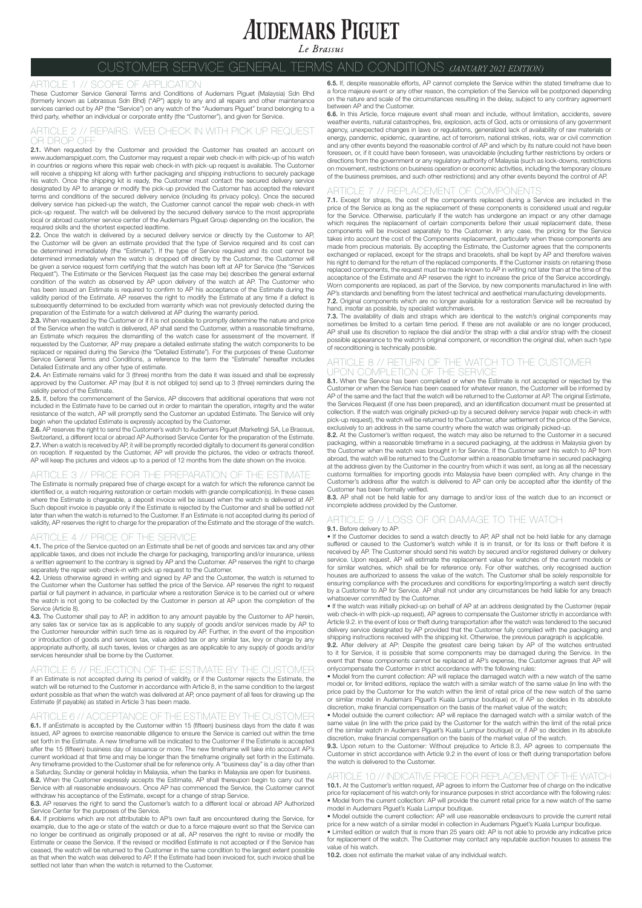# **AUDEMARS PIGUET**

Le Brassus

## CUSTOMER SERVICE GENERAL TERMS AND CONDITIONS *(JANUARY 2021 EDITION)*

ARTICLE 1 // SCOPE OF APPLICATION<br>These Customer Service General Terms and Conditions of Audemars Piguet (Malaysia) Sdn Bhd<br>(formerly known as Lebrassus Sdn Bhd) ("AP") apply to any and all repairs and other maintenance<br>se third party, whether an individual or corporate entity (the "Customer"), and given for Service.

### ARTICLE 2 // REPAIRS: WEB CHECK IN WITH PICK UP REQUEST DROP OF

2.1. When requested by the Customer and provided the Customer has created an account on www.audemarspiguet.com, the Customer may request a repair web check-in with pick-up of his watch in countries or regions where this repair web check-in with pick-up request is available. The Customer will receive a shipping kit along with further packaging and shipping instructions to securely package his watch. Once the shipping kit is ready, the Customer must contact the secured delivery service designated by AP to arrange or modify the pick-up provided the Customer has accepted the relevant terms and conditions of the secured delivery service (including its privacy policy). Once the secured delivery service has picked-up the watch, the Customer cannot cancel the repair web check-in with pick-up request. The watch will be delivered by the secured delivery service to the most appropriate local or abroad customer service center of the Audemars Piguet Group depending on the location, the required skills and the shortest expected leadtime.

2.2. Once the watch is delivered by a secured delivery service or directly by the Customer to AP, the Customer will be given an estimate provided that the type of Service required and its cost can be determined immediately (the "Estimate"). If the type of Service required and its cost cannot be determined immediately when the watch is dropped off directly by the Customer, the Customer will be given a service request form certifying that the watch has been left at AP for Service (the "Services Request"). The Estimate or the Services Request (as the case may be) describes the general external condition of the watch as observed by AP upon delivery of the watch at AP. The Customer who has been issued an Estimate is required to confirm to AP his acceptance of the Estimate during the validity period of the Estimate. AP reserves the right to modify the Estimate at any time if a defect is subsequently determined to be excluded from warranty which was not previously detected during the preparation of the Estimate for a watch delivered at AP during the warranty period.

**2.3.** When requested by the Customer or if it is not possible to promptly determine the nature and price<br>of the Service when the watch is delivered, AP shall send the Customer, within a reasonable timeframe,<br>an Estimate w requested by the Customer, AP may prepare a detailed estimate stating the watch components to be replaced or repaired during the Service (the "Detailed Estimate"). For the purposes of these Customer Service General Terms and Conditions, a reference to the term the "Estimate" hereafter includes Detailed Estimate and any other type of estimate.

2.4. An Estimate remains valid for 3 (three) months from the date it was issued and shall be expressly approved by the Customer. AP may (but it is not obliged to) send up to 3 (three) reminders during the validity period of the Estimate.

2.5. If, before the commencement of the Service, AP discovers that additional operations that were not included in the Estimate have to be carried out in order to maintain the operation, integrity and the water resistance of the watch, AP will promptly send the Customer an updated Estimate. The Service will only

begin when the updated Estimate is expressly accepted by the Customer.<br>**2.6.** AP reserves the right to send the Customer's watch to Audemars Piguet (Marketing) SA, Le Brassus, Switzerland, a different local or abroad AP Authorised Service Center for the preparation of the Estimate.<br>**2.7.** When a watch is received by AP, it will be promptly recorded digitally to document its general condition on reception. If requested by the Customer, AP will provide the pictures, the video or extracts thereof. AP will keep the pictures and videos up to a period of 12 months from the date shown on the invoice.

### ARTICLE 3 // PRICE FOR THE PREPARATION OF THE ESTIMATE

The Estimate is normally prepared free of charge except for a watch for which the reference cannot be identified or, a watch requiring restoration or certain models with grande complication(s). In these cases where the Estimate is chargeable, a deposit invoice will be issued when the watch is delivered at AP. Such deposit invoice is payable only if the Estimate is rejected by the Customer and shall be settled not later than when the watch is returned to the Customer. If an Estimate is not accepted during its period of validity, AP reserves the right to charge for the preparation of the Estimate and the storage of the watch.

### ARTICLE 4 // PRICE OF THE SERVICE

4.1. The price of the Service quoted on an Estimate shall be net of goods and services tax and any other applicable taxes, and does not include the charge for packaging, transporting and/or insurance, unless a written agreement to the contrary is signed by AP and the Customer. AP reserves the right to charge separately the repair web check-in with pick up request to the Customer.

4.2. Unless otherwise agreed in writing and signed by AP and the Customer, the watch is returned to the Customer when the Customer has settled the price of the Service. AP reserves the right to request partial or full payment in advance, in particular where a restoration Service is to be carried out or where the watch is not going to be collected by the Customer in person at AP upon the completion of the Service (Article 8).

4.3. The Customer shall pay to AP, in addition to any amount payable by the Customer to AP herein, any sales tax or service tax as is applicable to any supply of goods and/or services made by AP to the Customer hereunder within such time as is required by AP. Further, in the event of the imposition or introduction of goods and services tax, value added tax or any similar tax, levy or charge by any appropriate authority, all such taxes, levies or charges as are applicable to any supply of goods and/or services hereunder shall be borne by the Customer.

### ARTICLE 5 // REJECTION OF THE ESTIMATE BY THE CUSTOMER

If an Estimate is not accepted during its period of validity, or if the Customer rejects the Estimate, the watch will be returned to the Customer in accordance with Article 8, in the same condition to the largest extent possible as that when the watch was delivered at AP, once payment of all fees for drawing up the Estimate (if payable) as stated in Article 3 has been made.

### ARTICLE 6 // ACCEPTANCE OF THE ESTIMATE BY THE CUSTOMER

6.1. If anEstimate is accepted by the Customer within 15 (fifteen) business days from the date it was issued, AP agrees to exercise reasonable diligence to ensure the Service is carried out within the time set forth in the Estimate. A new timeframe will be indicated to the Customer if the Estimate is accepted after the 15 (fifteen) business day of issuance or more. The new timeframe will take into account AP's current workload at that time and may be longer than the timeframe originally set forth in the Estimate. Any timeframe provided to the Customer shall be for reference only. A "business day" is a day other than a Saturday, Sunday or general holiday in Malaysia, when the banks in Malaysia are open for business. 6.2. When the Customer expressly accepts the Estimate, AP shall thereupon begin to carry out the Service with all reasonable endeavours. Once AP has commenced the Service, the Customer cannot

withdraw his acceptance of the Estimate, except for a change of strap Service. 6.3. AP reserves the right to send the Customer's watch to a different local or abroad AP Authorized Service Center for the purposes of the Service.

6.4. If problems which are not attributable to AP's own fault are encountered during the Service, for example, due to the age or state of the watch or due to a force majeure event so that the Service can no longer be continued as originally proposed or at all, AP reserves the right to revise or modify the Estimate or cease the Service. If the revised or modified Estimate is not accepted or if the Service has ceased, the watch will be returned to the Customer in the same condition to the largest extent possible as that when the watch was delivered to AP. If the Estimate had been invoiced for, such invoice shall be settled not later than when the watch is returned to the Customer.

6.5. If, despite reasonable efforts, AP cannot complete the Service within the stated timeframe due to a force majeure event or any other reason, the completion of the Service will be postponed depending on the nature and scale of the circumstances resulting in the delay, subject to any contrary agreement between AP and the Customer.

6.6. In this Article, force majeure event shall mean and include, without limitation, accidents, severe weather events, natural catastrophes, fire, explosion, acts of God, acts or omissions of any government agency, unexpected changes in laws or regulations, generalized lack of availability of raw materials or energy, pandemic, epidemic, quarantine, act of terrorism, national strikes, riots, war or civil commotion and any other events beyond the reasonable control of AP and which by its nature could not have been foreseen, or, if it could have been foreseen, was unavoidable (including further restrictions by orders or directions from the government or any regulatory authority of Malaysia (such as lock-downs, restrictions on movement, restrictions on business operation or economic activities, including the temporary closure of the business premises, and such other restrictions) and any other events beyond the control of AP.

### TICLE 7 // REPLACEMENT OF COMPONENT

7.1. Except for straps, the cost of the components replaced during a Service are included in the price of the Service as long as the replacement of these components is considered usual and regular for the Service. Otherwise, particularly if the watch has undergone an impact or any other damage which requires the replacement of certain components before their usual replacement date, the components will be invoiced separately to the Customer. In any case, the pricing for the Service takes into account the cost of the Components replacement, particularly when these components are made from precious materials. By accepting the Estimate, the Customer agrees that the components exchanged or replaced, except for the straps and bracelets, shall be kept by AP and therefore waives his right to demand for the return of the replaced components. If the Customer insists on retaining these replaced components, the request must be made known to AP in writing not later than at the time of the acceptance of the Estimate and AP reserves the right to increase the price of the Service accordingly. Worn components are replaced, as part of the Service, by new components manufactured in line with AP's standards and benefiting from the latest technical and aesthetical manufacturing developments. 7.2. Original components which are no longer available for a restoration Service will be recreated by hand, insofar as possible, by specialist watchmakers.

7.3. The availability of dials and straps which are identical to the watch's original components may sometimes be limited to a certain time period. If these are not available or are no longer produced, AP shall use its discretion to replace the dial and/or the strap with a dial and/or strap with the closest possible appearance to the watch's original component, or recondition the original dial, when such type of reconditioning is technically possible.

### ARTICLE 8 // RETURN OF THE WATCH TO THE CUSTOMER UPON COMPLETION OF THE SERVICE

8.1. When the Service has been completed or when the Estimate is not accepted or rejected by the Customer or when the Service has been ceased for whatever reason, the Customer will be informed by AP of the same and the fact that the watch will be returned to the Customer at AP. The original Estimate, the Services Request (if one has been prepared), and an identification document must be presented at collection. If the watch was originally picked-up by a secured delivery service (repair web check-in with pick-up request), the watch will be returned to the Customer, after settlement of the price of the Service, exclusively to an address in the same country where the watch was originally picked-up.

8.2. At the Customer's written request, the watch may also be returned to the Customer in a secured packaging, within a reasonable timeframe in a secured packaging, at the address in Malaysia given by the Customer when the watch was brought in for Service. If the Customer sent his watch to AP from abroad, the watch will be returned to the Customer within a reasonable timeframe in secured packaging at the address given by the Customer in the country from which it was sent, as long as all the necessary customs formalities for importing goods into Malaysia have been complied with. Any change in the Customer's address after the watch is delivered to AP can only be accepted after the identity of the

Customer has been formally verified.<br>8.3. AP shall not be held liable for any damage to and/or loss of the watch due to an incorrect or incomplete address provided by the Customer.

### **TICLE 9 // LOSS OF OR DAMAGE TO THE WATCH**

9.1. Before delivery to AP: • If the Customer decides to send a watch directly to AP, AP shall not be held liable for any damage suffered or caused to the Customer's watch while it is in transit, or for its loss or theft before it is received by AP. The Customer should send his watch by secured and/or registered delivery or delivery service. Upon request, AP will estimate the replacement value for watches of the current models or for similar watches, which shall be for reference only. For other watches, only recognised auction houses are authorized to assess the value of the watch. The Customer shall be solely responsible for ensuring compliance with the procedures and conditions for exporting/importing a watch sent directly by a Customer to AP for Service. AP shall not under any circumstances be held liable for any breach whatsoever committed by the Customer.

• If the watch was initially picked-up on behalf of AP at an address designated by the Customer (repair web check-in with pick-up request), AP agrees to compensate the Customer strictly in accordance with Article 9.2. in the event of loss or theft during transportation after the watch was tendered to the secured delivery service designated by AP provided that the Customer fully complied with the packaging and

shipping instructions received with the shipping kit. Otherwise, the previous paragraph is applicable.<br>9.2. After delivery at AP: Despite the greatest care being taken by AP of the watches entrusted to it for Service, it is possible that some components may be damaged during the Service. In the event that these components cannot be replaced at AP's expense, the Customer agrees that AP will

onlycompensate the Customer in strict accordance with the following rules:<br>● Model from the current collection: AP will replace the damaged watch with a new watch of the same<br>model or, for limited editions, replace the wa price paid by the Customer for the watch within the limit of retail price of the new watch of the same or similar model in Audemars Piguet's Kuala Lumpur boutique) or, if AP so decides in its absolute discretion, make financial compensation on the basis of the market value of the watch; • Model outside the current collection: AP will replace the damaged watch with a similar watch of the

same value (in line with the price paid by the Customer for the watch within the limit of the retail price of the similar watch in Audemars Piguet's Kuala Lumpur boutique) or, if AP so decides in its absolute discretion, make financial compensation on the basis of the market value of the watch.

9.3. Upon return to the Customer: Without prejudice to Article 8.3, AP agrees to compensate the Customer in strict accordance with Article 9.2 in the event of loss or theft during transportation before the watch is delivered to the Customer.

### CLE 10 // INDICATIVE PRICE FOR REPLACEMENT OF THE WATCH 10.1. At the Customer's written request, AP agrees to inform the Customer free of charge on the indicative

price for replacement of his watch only for insurance purposes in strict accordance with the following rules: • Model from the current collection: AP will provide the current retail price for a new watch of the same model in Audemars Piguet's Kuala Lumpur boutique.

• Model outside the current collection: AP will use reasonable endeavours to provide the current retail price for a new watch of a similar model in collection in Audemars Piguet's Kuala Lumpur boutique.

• Limited edition or watch that is more than 25 years old: AP is not able to provide any indicative price for replacement of the watch. The Customer may contact any reputable auction houses to assess the value of his watch.

10.2. does not estimate the market value of any individual watch.